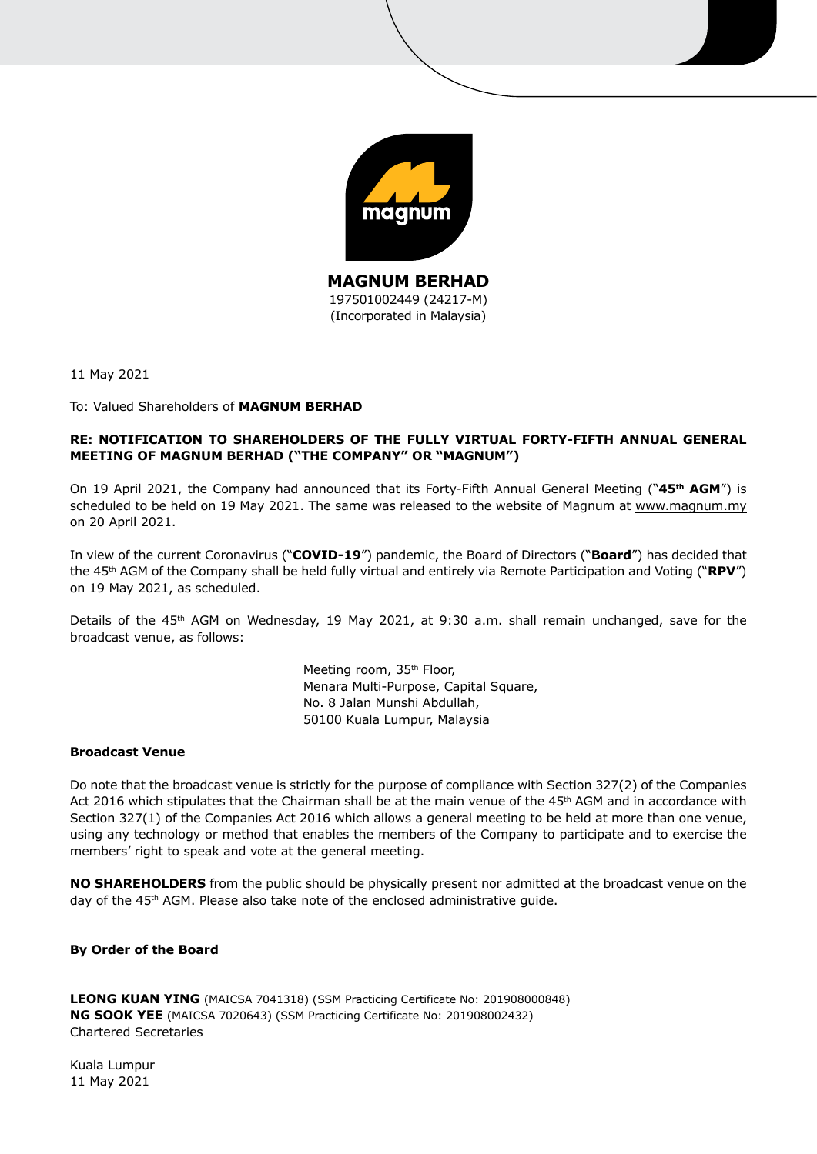

11 May 2021

## To: Valued Shareholders of **MAGNUM BERHAD**

# **RE: NOTIFICATION TO SHAREHOLDERS OF THE FULLY VIRTUAL FORTY-FIFTH ANNUAL GENERAL MEETING OF MAGNUM BERHAD ("THE COMPANY" OR "MAGNUM")**

On 19 April 2021, the Company had announced that its Forty-Fifth Annual General Meeting ("**45th AGM**") is scheduled to be held on 19 May 2021. The same was released to the website of Magnum at www.magnum.my on 20 April 2021.

In view of the current Coronavirus ("**COVID-19**") pandemic, the Board of Directors ("**Board**") has decided that the 45th AGM of the Company shall be held fully virtual and entirely via Remote Participation and Voting ("**RPV**") on 19 May 2021, as scheduled.

Details of the 45<sup>th</sup> AGM on Wednesday, 19 May 2021, at 9:30 a.m. shall remain unchanged, save for the broadcast venue, as follows:

> Meeting room, 35<sup>th</sup> Floor, Menara Multi-Purpose, Capital Square, No. 8 Jalan Munshi Abdullah, 50100 Kuala Lumpur, Malaysia

## **Broadcast Venue**

Do note that the broadcast venue is strictly for the purpose of compliance with Section 327(2) of the Companies Act 2016 which stipulates that the Chairman shall be at the main venue of the 45<sup>th</sup> AGM and in accordance with Section 327(1) of the Companies Act 2016 which allows a general meeting to be held at more than one venue, using any technology or method that enables the members of the Company to participate and to exercise the members' right to speak and vote at the general meeting.

**NO SHAREHOLDERS** from the public should be physically present nor admitted at the broadcast venue on the day of the 45<sup>th</sup> AGM. Please also take note of the enclosed administrative guide.

## **By Order of the Board**

**LEONG KUAN YING** (MAICSA 7041318) (SSM Practicing Certificate No: 201908000848) **NG SOOK YEE** (MAICSA 7020643) (SSM Practicing Certificate No: 201908002432) Chartered Secretaries

Kuala Lumpur 11 May 2021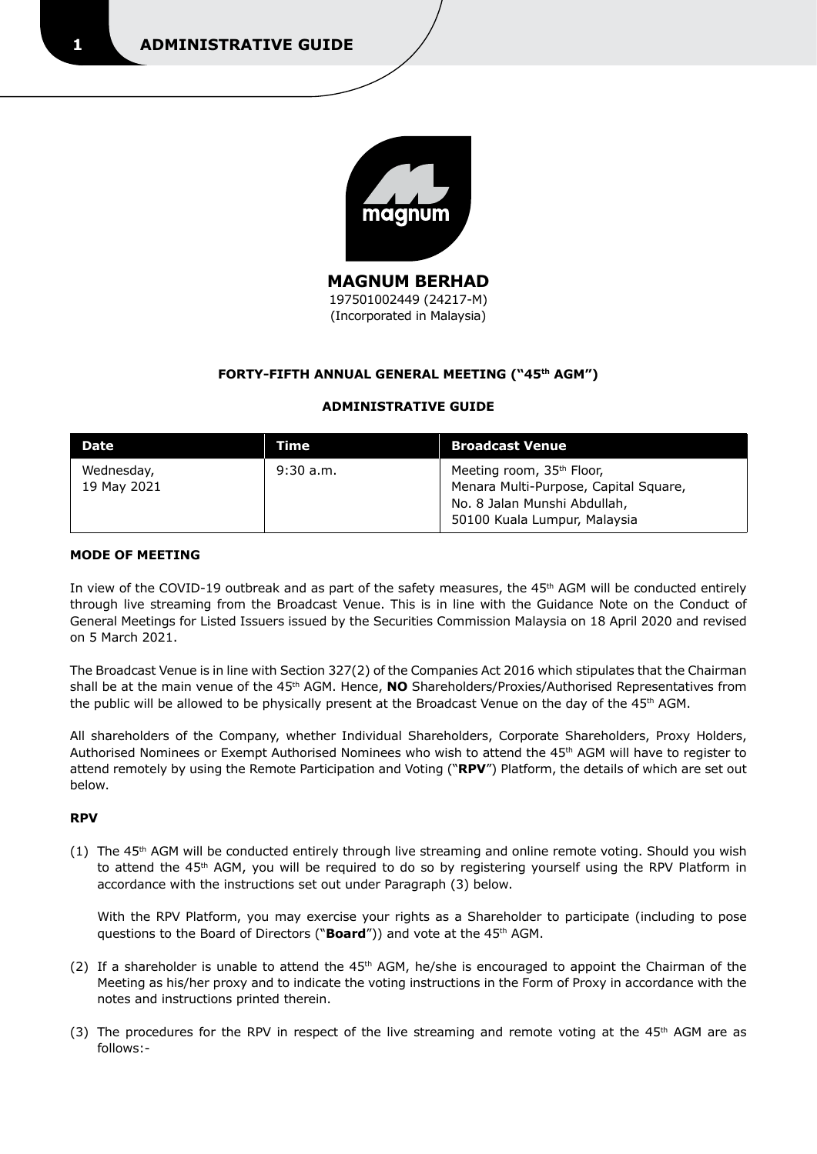

**MAGNUM BERHAD**  197501002449 (24217-M) (Incorporated in Malaysia)

# **FORTY-FIFTH ANNUAL GENERAL MEETING ("45th AGM")**

## **ADMINISTRATIVE GUIDE**

| <b>Date</b>               | Time        | <b>Broadcast Venue</b>                                                                                                                         |
|---------------------------|-------------|------------------------------------------------------------------------------------------------------------------------------------------------|
| Wednesday,<br>19 May 2021 | $9:30$ a.m. | Meeting room, 35 <sup>th</sup> Floor,<br>Menara Multi-Purpose, Capital Square,<br>No. 8 Jalan Munshi Abdullah,<br>50100 Kuala Lumpur, Malaysia |

## **MODE OF MEETING**

In view of the COVID-19 outbreak and as part of the safety measures, the 45<sup>th</sup> AGM will be conducted entirely through live streaming from the Broadcast Venue. This is in line with the Guidance Note on the Conduct of General Meetings for Listed Issuers issued by the Securities Commission Malaysia on 18 April 2020 and revised on 5 March 2021.

The Broadcast Venue is in line with Section 327(2) of the Companies Act 2016 which stipulates that the Chairman shall be at the main venue of the 45<sup>th</sup> AGM. Hence, **NO** Shareholders/Proxies/Authorised Representatives from the public will be allowed to be physically present at the Broadcast Venue on the day of the 45<sup>th</sup> AGM.

All shareholders of the Company, whether Individual Shareholders, Corporate Shareholders, Proxy Holders, Authorised Nominees or Exempt Authorised Nominees who wish to attend the 45th AGM will have to register to attend remotely by using the Remote Participation and Voting ("**RPV**") Platform, the details of which are set out below.

## **RPV**

 $(1)$  The 45<sup>th</sup> AGM will be conducted entirely through live streaming and online remote voting. Should you wish to attend the 45<sup>th</sup> AGM, you will be required to do so by registering yourself using the RPV Platform in accordance with the instructions set out under Paragraph (3) below.

 With the RPV Platform, you may exercise your rights as a Shareholder to participate (including to pose questions to the Board of Directors ("**Board**")) and vote at the 45<sup>th</sup> AGM.

- (2) If a shareholder is unable to attend the 45<sup>th</sup> AGM, he/she is encouraged to appoint the Chairman of the Meeting as his/her proxy and to indicate the voting instructions in the Form of Proxy in accordance with the notes and instructions printed therein.
- (3) The procedures for the RPV in respect of the live streaming and remote voting at the  $45<sup>th</sup>$  AGM are as follows:-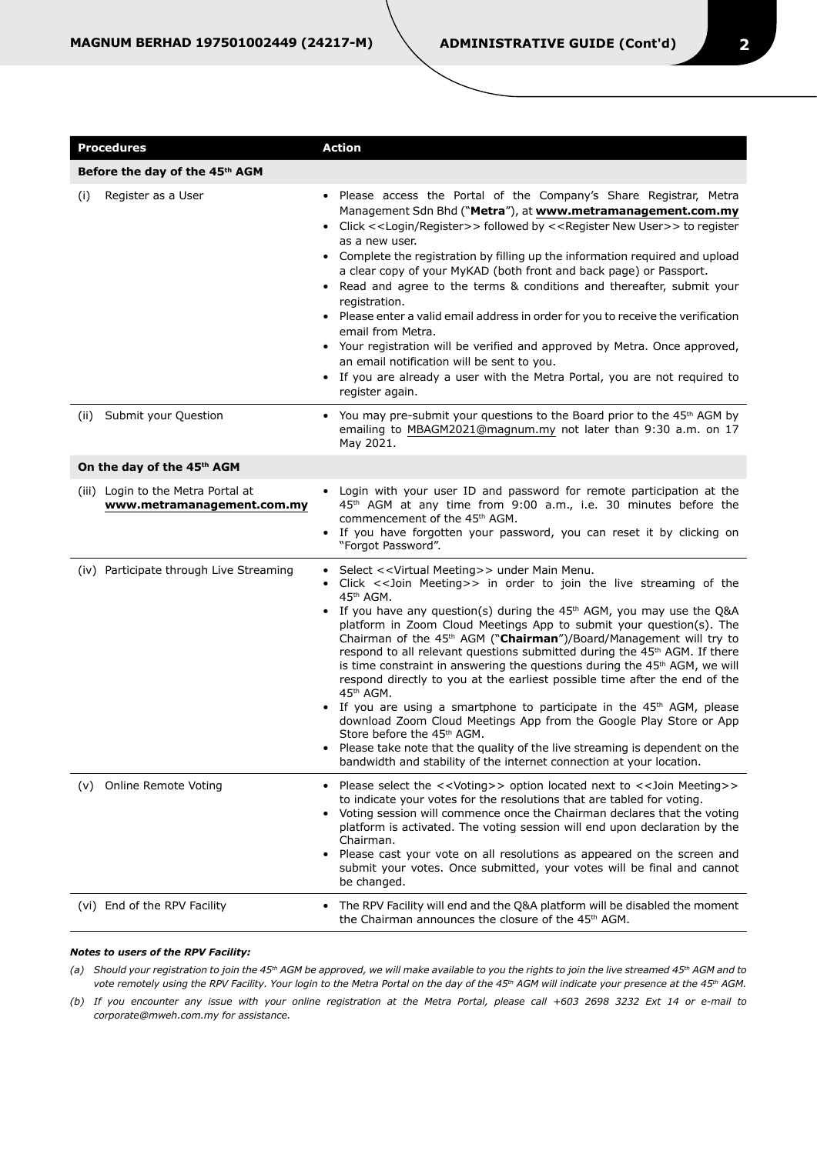| <b>Procedures</b>                                                | <b>Action</b>                                                                                                                                                                                                                                                                                                                                                                                                                                                                                                                                                                                                                                                                                                                                                                                                                                                                                                                                                                                                 |  |
|------------------------------------------------------------------|---------------------------------------------------------------------------------------------------------------------------------------------------------------------------------------------------------------------------------------------------------------------------------------------------------------------------------------------------------------------------------------------------------------------------------------------------------------------------------------------------------------------------------------------------------------------------------------------------------------------------------------------------------------------------------------------------------------------------------------------------------------------------------------------------------------------------------------------------------------------------------------------------------------------------------------------------------------------------------------------------------------|--|
| Before the day of the 45th AGM                                   |                                                                                                                                                                                                                                                                                                                                                                                                                                                                                                                                                                                                                                                                                                                                                                                                                                                                                                                                                                                                               |  |
| Register as a User<br>(i)                                        | Please access the Portal of the Company's Share Registrar, Metra<br>Management Sdn Bhd ("Metra"), at www.metramanagement.com.my<br>• Click < <login register="">&gt; followed by &lt;<register new="" user="">&gt; to register<br/>as a new user.<br/>• Complete the registration by filling up the information required and upload<br/>a clear copy of your MyKAD (both front and back page) or Passport.<br/>• Read and agree to the terms &amp; conditions and thereafter, submit your<br/>registration.<br/>• Please enter a valid email address in order for you to receive the verification<br/>email from Metra.<br/>• Your registration will be verified and approved by Metra. Once approved,<br/>an email notification will be sent to you.<br/>If you are already a user with the Metra Portal, you are not required to<br/>register again.</register></login>                                                                                                                                     |  |
| Submit your Question<br>(ii)                                     | • You may pre-submit your questions to the Board prior to the 45 <sup>th</sup> AGM by<br>emailing to MBAGM2021@magnum.my not later than 9:30 a.m. on 17<br>May 2021.                                                                                                                                                                                                                                                                                                                                                                                                                                                                                                                                                                                                                                                                                                                                                                                                                                          |  |
| On the day of the 45 <sup>th</sup> AGM                           |                                                                                                                                                                                                                                                                                                                                                                                                                                                                                                                                                                                                                                                                                                                                                                                                                                                                                                                                                                                                               |  |
| (iii) Login to the Metra Portal at<br>www.metramanagement.com.my | • Login with your user ID and password for remote participation at the<br>45 <sup>th</sup> AGM at any time from 9:00 a.m., i.e. 30 minutes before the<br>commencement of the 45 <sup>th</sup> AGM.<br>If you have forgotten your password, you can reset it by clicking on<br>"Forgot Password".                                                                                                                                                                                                                                                                                                                                                                                                                                                                                                                                                                                                                                                                                                              |  |
| (iv) Participate through Live Streaming                          | Select << Virtual Meeting>> under Main Menu.<br>Click << Join Meeting>> in order to join the live streaming of the<br>45th AGM.<br>• If you have any question(s) during the 45 <sup>th</sup> AGM, you may use the Q&A<br>platform in Zoom Cloud Meetings App to submit your question(s). The<br>Chairman of the 45 <sup>th</sup> AGM ("Chairman")/Board/Management will try to<br>respond to all relevant questions submitted during the 45 <sup>th</sup> AGM. If there<br>is time constraint in answering the questions during the 45 <sup>th</sup> AGM, we will<br>respond directly to you at the earliest possible time after the end of the<br>45th AGM.<br>If you are using a smartphone to participate in the $45th$ AGM, please<br>download Zoom Cloud Meetings App from the Google Play Store or App<br>Store before the 45 <sup>th</sup> AGM.<br>Please take note that the quality of the live streaming is dependent on the<br>bandwidth and stability of the internet connection at your location. |  |
| Online Remote Voting<br>(v)                                      | Please select the << Voting>> option located next to << Join Meeting>><br>to indicate your votes for the resolutions that are tabled for voting.<br>Voting session will commence once the Chairman declares that the voting<br>platform is activated. The voting session will end upon declaration by the<br>Chairman.<br>Please cast your vote on all resolutions as appeared on the screen and<br>submit your votes. Once submitted, your votes will be final and cannot<br>be changed.                                                                                                                                                                                                                                                                                                                                                                                                                                                                                                                     |  |
| (vi) End of the RPV Facility                                     | The RPV Facility will end and the Q&A platform will be disabled the moment<br>the Chairman announces the closure of the 45 <sup>th</sup> AGM.                                                                                                                                                                                                                                                                                                                                                                                                                                                                                                                                                                                                                                                                                                                                                                                                                                                                 |  |

#### *Notes to users of the RPV Facility:*

(a) Should your registration to join the 45<sup>th</sup> AGM be approved, we will make available to you the rights to join the live streamed 45<sup>th</sup> AGM and to *vote remotely using the RPV Facility. Your login to the Metra Portal on the day of the 45th AGM will indicate your presence at the 45th AGM.*

*(b) If you encounter any issue with your online registration at the Metra Portal, please call +603 2698 3232 Ext 14 or e-mail to corporate@mweh.com.my for assistance.*